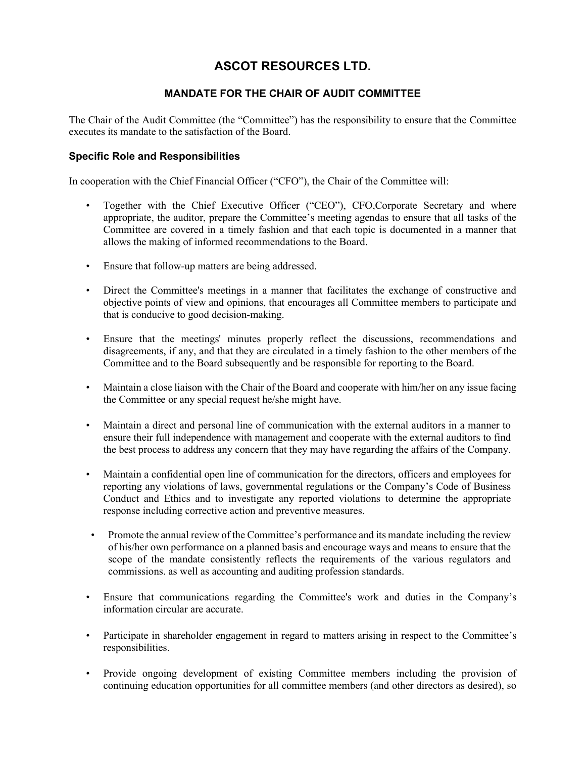## ASCOT RESOURCES LTD.

## MANDATE FOR THE CHAIR OF AUDIT COMMITTEE

The Chair of the Audit Committee (the "Committee") has the responsibility to ensure that the Committee executes its mandate to the satisfaction of the Board.

## Specific Role and Responsibilities

In cooperation with the Chief Financial Officer ("CFO"), the Chair of the Committee will:

- Together with the Chief Executive Officer ("CEO"), CFO,Corporate Secretary and where appropriate, the auditor, prepare the Committee's meeting agendas to ensure that all tasks of the Committee are covered in a timely fashion and that each topic is documented in a manner that allows the making of informed recommendations to the Board.
- Ensure that follow-up matters are being addressed.
- Direct the Committee's meetings in a manner that facilitates the exchange of constructive and objective points of view and opinions, that encourages all Committee members to participate and that is conducive to good decision-making.
- Ensure that the meetings' minutes properly reflect the discussions, recommendations and disagreements, if any, and that they are circulated in a timely fashion to the other members of the Committee and to the Board subsequently and be responsible for reporting to the Board.
- Maintain a close liaison with the Chair of the Board and cooperate with him/her on any issue facing the Committee or any special request he/she might have.
- Maintain a direct and personal line of communication with the external auditors in a manner to ensure their full independence with management and cooperate with the external auditors to find the best process to address any concern that they may have regarding the affairs of the Company.
- Maintain a confidential open line of communication for the directors, officers and employees for reporting any violations of laws, governmental regulations or the Company's Code of Business Conduct and Ethics and to investigate any reported violations to determine the appropriate response including corrective action and preventive measures.
- Promote the annual review of the Committee's performance and its mandate including the review of his/her own performance on a planned basis and encourage ways and means to ensure that the scope of the mandate consistently reflects the requirements of the various regulators and commissions. as well as accounting and auditing profession standards.
- Ensure that communications regarding the Committee's work and duties in the Company's information circular are accurate.
- Participate in shareholder engagement in regard to matters arising in respect to the Committee's responsibilities.
- Provide ongoing development of existing Committee members including the provision of continuing education opportunities for all committee members (and other directors as desired), so